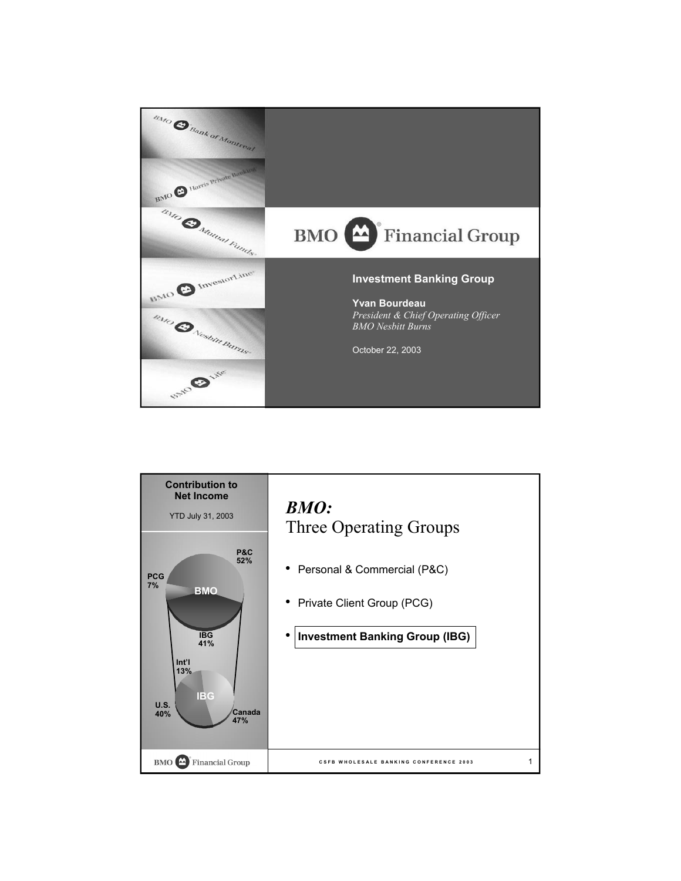

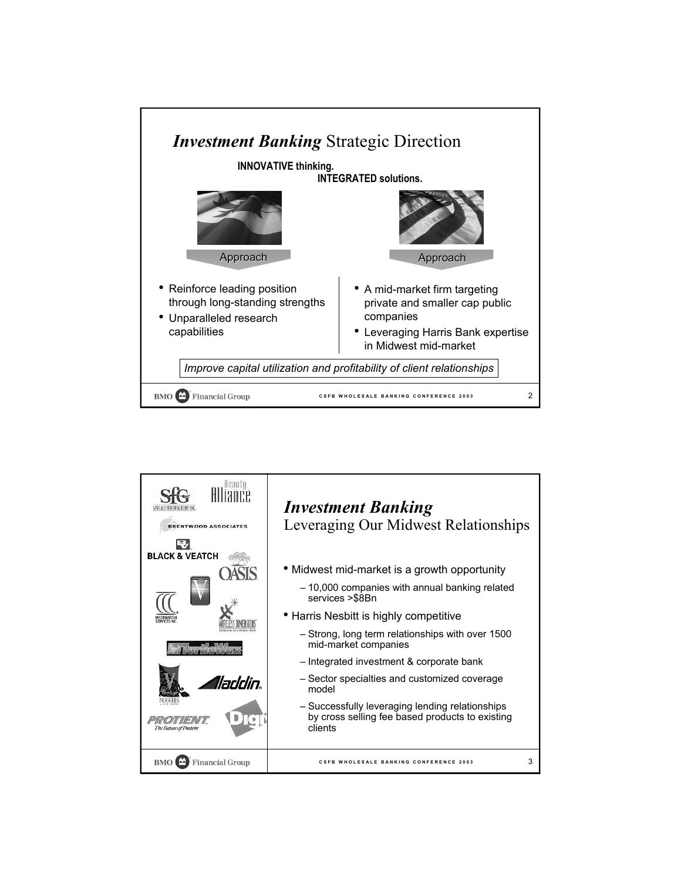

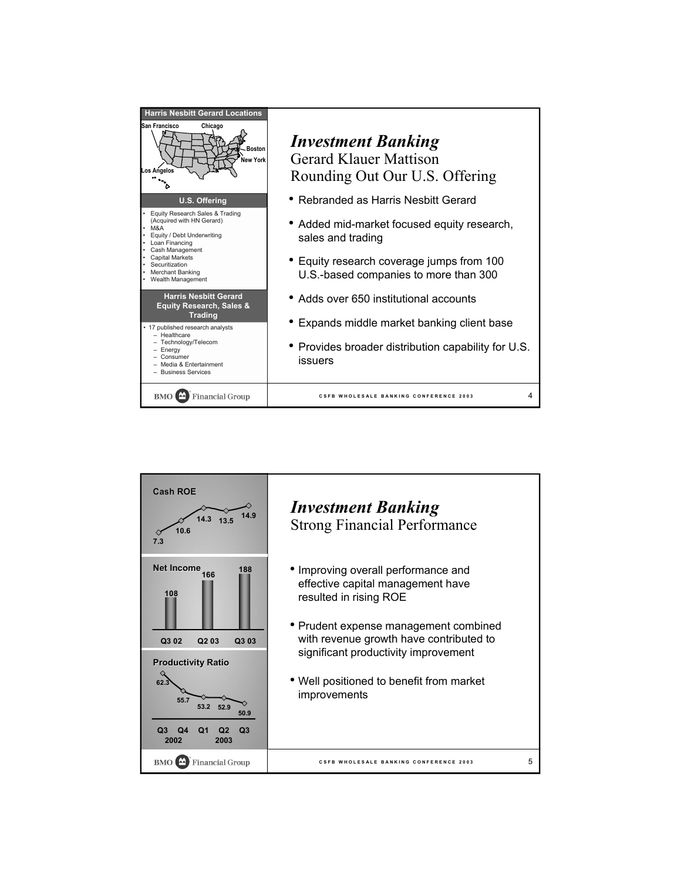| <b>Harris Nesbitt Gerard Locations</b><br>San Francisco<br>Chicago<br><b>Boston</b><br><b>New York</b><br>Los Angelos<br><b>U.S. Offering</b><br>Equity Research Sales & Trading<br>(Acquired with HN Gerard)<br>$\cdot$ M&A<br>Equity / Debt Underwriting<br>Loan Financing<br>Cash Management<br><b>Capital Markets</b><br>Securitization<br>Merchant Banking<br>Wealth Management<br><b>Harris Nesbitt Gerard</b><br><b>Equity Research, Sales &amp;</b><br><b>Trading</b><br>• 17 published research analysts<br>- Healthcare<br>- Technology/Telecom<br>- Enerav<br>$-$ Consumer<br>$-$ Media & Entertainment<br>- Business Services | <b>Investment Banking</b><br><b>Gerard Klauer Mattison</b><br>Rounding Out Our U.S. Offering<br>• Rebranded as Harris Nesbitt Gerard<br>Added mid-market focused equity research,<br>sales and trading<br>• Equity research coverage jumps from 100<br>U.S.-based companies to more than 300<br>• Adds over 650 institutional accounts<br>• Expands middle market banking client base<br>• Provides broader distribution capability for U.S.<br>issuers |
|-------------------------------------------------------------------------------------------------------------------------------------------------------------------------------------------------------------------------------------------------------------------------------------------------------------------------------------------------------------------------------------------------------------------------------------------------------------------------------------------------------------------------------------------------------------------------------------------------------------------------------------------|---------------------------------------------------------------------------------------------------------------------------------------------------------------------------------------------------------------------------------------------------------------------------------------------------------------------------------------------------------------------------------------------------------------------------------------------------------|
| <b>Financial Group</b>                                                                                                                                                                                                                                                                                                                                                                                                                                                                                                                                                                                                                    | 4                                                                                                                                                                                                                                                                                                                                                                                                                                                       |
| <b>BMO</b>                                                                                                                                                                                                                                                                                                                                                                                                                                                                                                                                                                                                                                | <b>CSFB WHOLESALE BANKING CONFERENCE 2003</b>                                                                                                                                                                                                                                                                                                                                                                                                           |